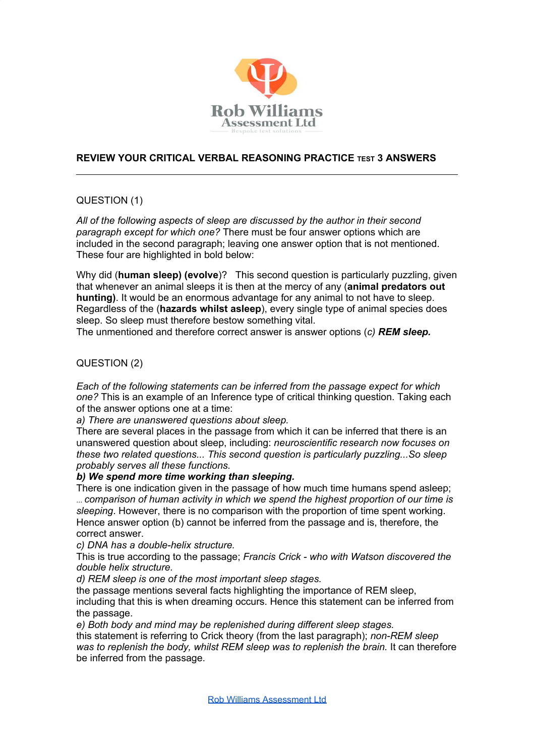

# **REVIEW YOUR CRITICAL VERBAL REASONING PRACTICE TEST 3 ANSWERS**

## QUESTION (1)

*All of the following aspects of sleep are discussed by the author in their second paragraph except for which one?* There must be four answer options which are included in the second paragraph; leaving one answer option that is not mentioned. These four are highlighted in bold below:

Why did (**human sleep) (evolve**)? This second question is particularly puzzling, given that whenever an animal sleeps it is then at the mercy of any (**animal predators out hunting)**. It would be an enormous advantage for any animal to not have to sleep. Regardless of the (**hazards whilst asleep**), every single type of animal species does sleep. So sleep must therefore bestow something vital.

The unmentioned and therefore correct answer is answer options (*c) REM sleep.*

## QUESTION (2)

*Each of the following statements can be inferred from the passage expect for which one?* This is an example of an Inference type of critical thinking question. Taking each of the answer options one at a time:

*a) There are unanswered questions about sleep.*

There are several places in the passage from which it can be inferred that there is an unanswered question about sleep, including: *neuroscientific research now focuses on these two related questions... This second question is particularly puzzling...So sleep probably serves all these functions.*

### *b) We spend more time working than sleeping.*

There is one indication given in the passage of how much time humans spend asleep; ... *comparison of human activity in which we spend the highest proportion of our time is sleeping*. However, there is no comparison with the proportion of time spent working. Hence answer option (b) cannot be inferred from the passage and is, therefore, the correct answer.

*c) DNA has a double-helix structure.*

This is true according to the passage; *Francis Crick - who with Watson discovered the double helix structure.*

*d) REM sleep is one of the most important sleep stages.*

the passage mentions several facts highlighting the importance of REM sleep, including that this is when dreaming occurs. Hence this statement can be inferred from the passage.

*e) Both body and mind may be replenished during different sleep stages.*

this statement is referring to Crick theory (from the last paragraph); *non-REM sleep was to replenish the body, whilst REM sleep was to replenish the brain.* It can therefore be inferred from the passage.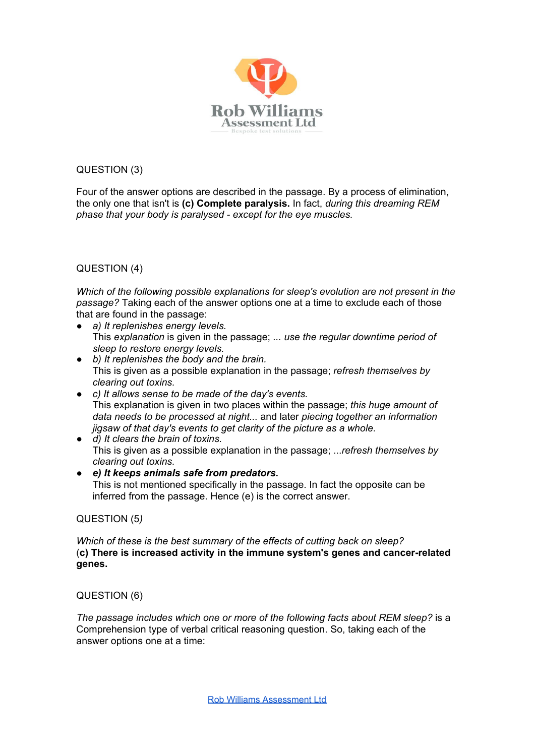

QUESTION (3)

Four of the answer options are described in the passage. By a process of elimination, the only one that isn't is **(c) Complete paralysis.** In fact, *during this dreaming REM phase that your body is paralysed - except for the eye muscles.*

QUESTION (4)

*Which of the following possible explanations for sleep's evolution are not present in the passage?* Taking each of the answer options one at a time to exclude each of those that are found in the passage:

- *● a) It replenishes energy levels.* This *explanation* is given in the passage; *... use the regular downtime period of sleep to restore energy levels.*
- *● b) It replenishes the body and the brain.* This is given as a possible explanation in the passage; *refresh themselves by clearing out toxins.*
- *● c) It allows sense to be made of the day's events.* This explanation is given in two places within the passage; *this huge amount of data needs to be processed at night...* and later *piecing together an information jigsaw of that day's events to get clarity of the picture as a whole.*
- *● d) It clears the brain of toxins.* This is given as a possible explanation in the passage; ...*refresh themselves by clearing out toxins.*
- *● e) It keeps animals safe from predators.* This is not mentioned specifically in the passage. In fact the opposite can be inferred from the passage. Hence (e) is the correct answer.

## QUESTION (5*)*

*Which of these is the best summary of the effects of cutting back on sleep?* (**c) There is increased activity in the immune system's genes and cancer-related genes.**

QUESTION (6)

*The passage includes which one or more of the following facts about REM sleep?* is a Comprehension type of verbal critical reasoning question. So, taking each of the answer options one at a time: